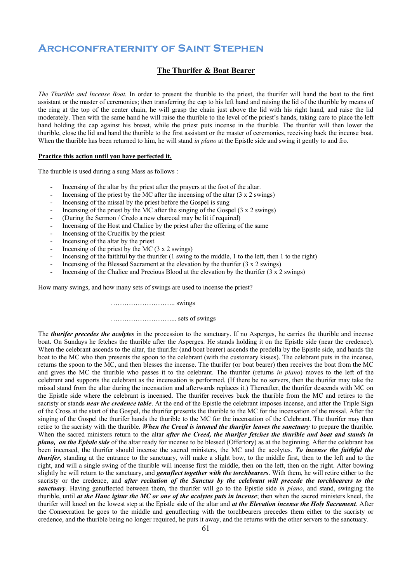# **Archconfraternity of Saint Stephen**

### **The Thurifer & Boat Bearer**

*The Thurible and Incense Boat.* In order to present the thurible to the priest, the thurifer will hand the boat to the first assistant or the master of ceremonies; then transferring the cap to his left hand and raising the lid of the thurible by means of the ring at the top of the center chain, he will grasp the chain just above the lid with his right hand, and raise the lid moderately. Then with the same hand he will raise the thurible to the level of the priest's hands, taking care to place the left hand holding the cap against his breast, while the priest puts incense in the thurible. The thurifer will then lower the thurible, close the lid and hand the thurible to the first assistant or the master of ceremonies, receiving back the incense boat. When the thurible has been returned to him, he will stand *in plano* at the Epistle side and swing it gently to and fro.

#### **Practice this action until you have perfected it.**

The thurible is used during a sung Mass as follows :

- Incensing of the altar by the priest after the prayers at the foot of the altar.
- Incensing of the priest by the MC after the incensing of the altar  $(3 \times 2 \text{ swings})$
- Incensing of the missal by the priest before the Gospel is sung
- Incensing of the priest by the MC after the singing of the Gospel  $(3 \times 2 \text{ swings})$
- (During the Sermon / Credo a new charcoal may be lit if required)
- Incensing of the Host and Chalice by the priest after the offering of the same
- Incensing of the Crucifix by the priest
- Incensing of the altar by the priest
- Incensing of the priest by the MC  $(3 \times 2 \text{ swings})$
- Incensing of the faithful by the thurifer (1 swing to the middle, 1 to the left, then 1 to the right)
- Incensing of the Blessed Sacrament at the elevation by the thurifer (3 x 2 swings)
- Incensing of the Chalice and Precious Blood at the elevation by the thurifer  $(3 \times 2 \text{ swings})$

How many swings, and how many sets of swings are used to incense the priest?

……………………….. swings

………………………... sets of swings

The *thurifer precedes the acolytes* in the procession to the sanctuary. If no Asperges, he carries the thurible and incense boat. On Sundays he fetches the thurible after the Asperges. He stands holding it on the Epistle side (near the credence). When the celebrant ascends to the altar, the thurifer (and boat bearer) ascends the predella by the Epistle side, and hands the boat to the MC who then presents the spoon to the celebrant (with the customary kisses). The celebrant puts in the incense, returns the spoon to the MC, and then blesses the incense. The thurifer (or boat bearer) then receives the boat from the MC and gives the MC the thurible who passes it to the celebrant. The thurifer (returns *in plano*) moves to the left of the celebrant and supports the celebrant as the incensation is performed. (If there be no servers, then the thurifer may take the missal stand from the altar during the incensation and afterwards replaces it.) Thereafter, the thurifer descends with MC on the Epistle side where the celebrant is incensed. The thurifer receives back the thurible from the MC and retires to the sacristy or stands *near the credence table*. At the end of the Epistle the celebrant imposes incense, and after the Triple Sign of the Cross at the start of the Gospel, the thurifer presents the thurible to the MC for the incensation of the missal. After the singing of the Gospel the thurifer hands the thurible to the MC for the incensation of the Celebrant. The thurifer may then retire to the sacristy with the thurible. *When the Creed is intoned the thurifer leaves the sanctuary* to prepare the thurible. When the sacred ministers return to the altar *after the Creed, the thurifer fetches the thurible and boat and stands in plano, on the Epistle side* of the altar ready for incense to be blessed (Offertory) as at the beginning. After the celebrant has been incensed, the thurifer should incense the sacred ministers, the MC and the acolytes. *To incense the faithful the thurifer*, standing at the entrance to the sanctuary, will make a slight bow, to the middle first, then to the left and to the right, and will a single swing of the thurible will incense first the middle, then on the left, then on the right. After bowing slightly he will return to the sanctuary, and *genuflect together with the torchbearers*. With them, he will retire either to the sacristy or the credence, and *after recitation of the Sanctus by the celebrant will precede the torchbearers to the sanctuary*. Having genuflected between them, the thurifer will go to the Epistle side *in plano*, and stand, swinging the thurible, until *at the Hanc igitur the MC or one of the acolytes puts in incense*; then when the sacred ministers kneel, the thurifer will kneel on the lowest step at the Epistle side of the altar and *at the Elevation incense the Holy Sacrament*. After the Consecration he goes to the middle and genuflecting with the torchbearers precedes them either to the sacristy or credence, and the thurible being no longer required, he puts it away, and the returns with the other servers to the sanctuary.